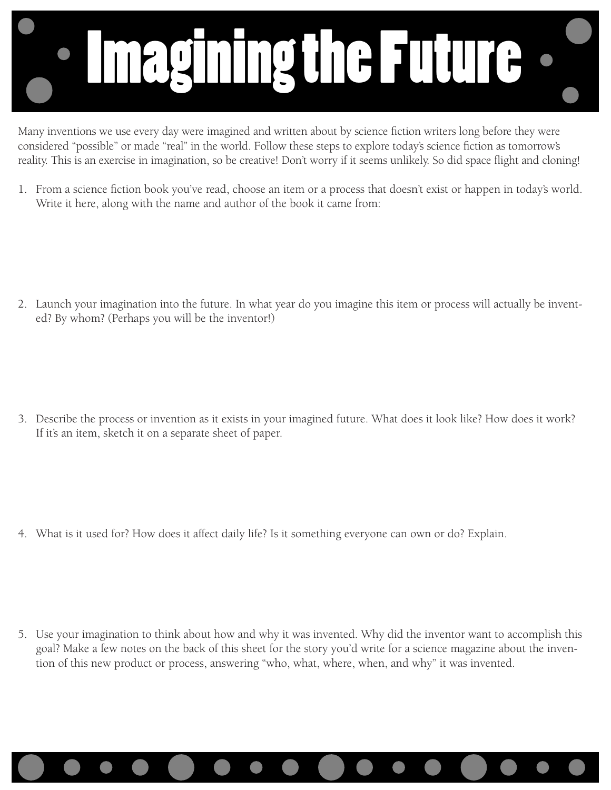

Many inventions we use every day were imagined and written about by science fiction writers long before they were considered "possible" or made "real" in the world. Follow these steps to explore today's science fiction as tomorrow's reality. This is an exercise in imagination, so be creative! Don't worry if it seems unlikely. So did space flight and cloning!

1. From a science fiction book you've read, choose an item or a process that doesn't exist or happen in today's world. Write it here, along with the name and author of the book it came from:

2. Launch your imagination into the future. In what year do you imagine this item or process will actually be invented? By whom? (Perhaps you will be the inventor!)

3. Describe the process or invention as it exists in your imagined future. What does it look like? How does it work? If it's an item, sketch it on a separate sheet of paper.

4. What is it used for? How does it affect daily life? Is it something everyone can own or do? Explain.

5. Use your imagination to think about how and why it was invented. Why did the inventor want to accomplish this goal? Make a few notes on the back of this sheet for the story you'd write for a science magazine about the invention of this new product or process, answering "who, what, where, when, and why" it was invented.